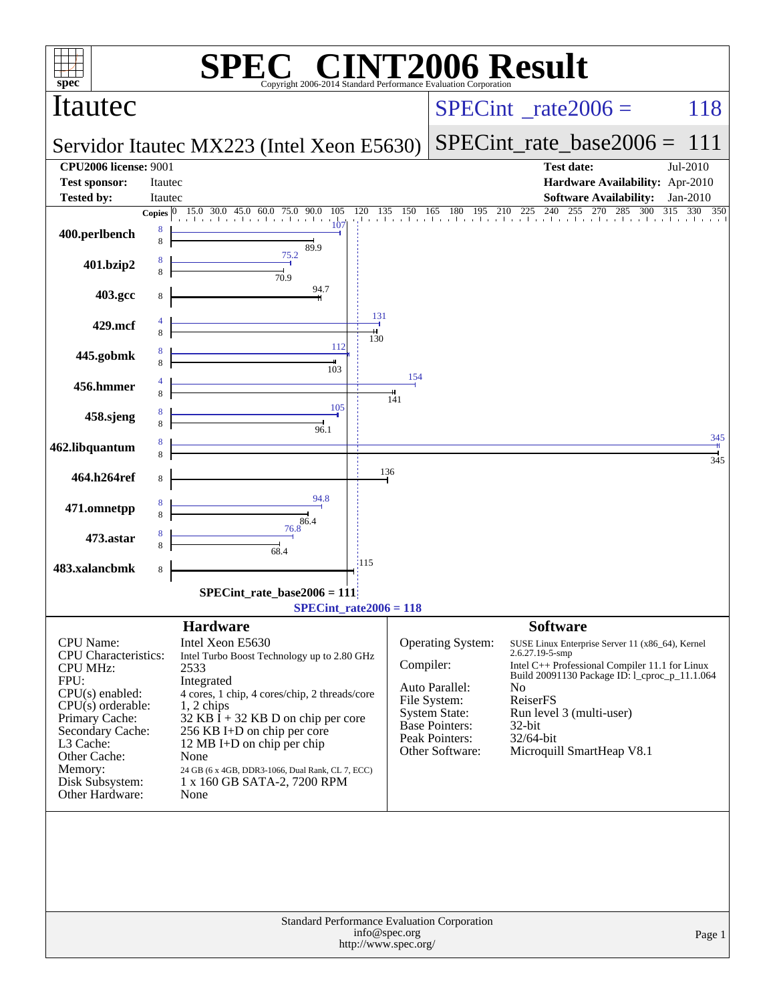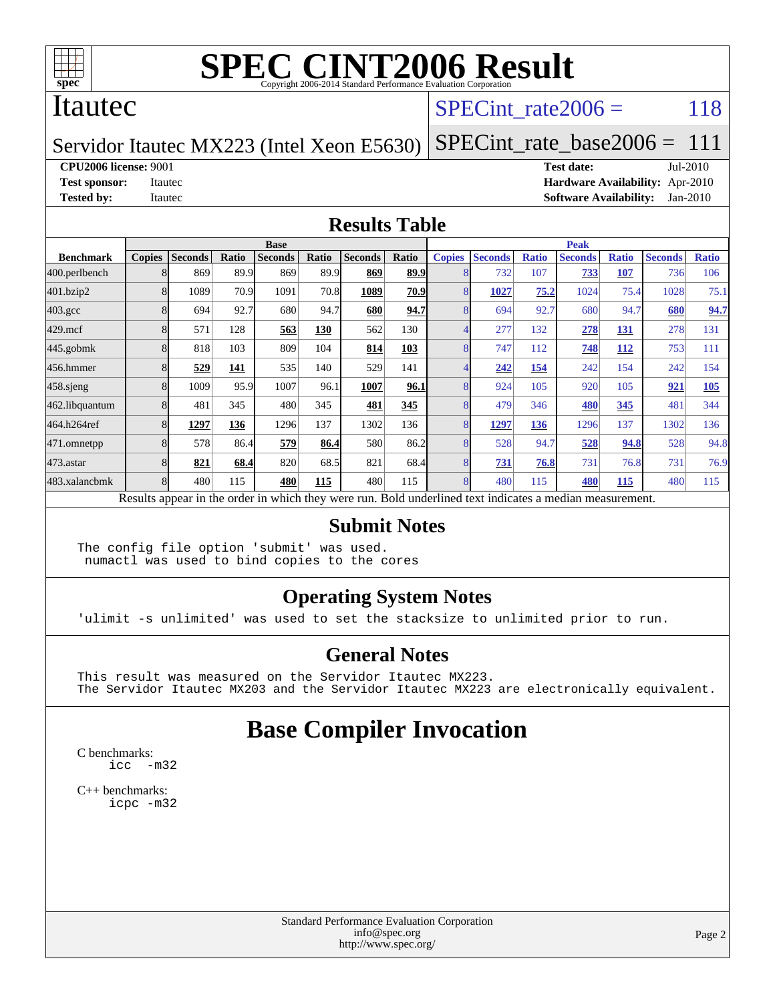

#### Itautec

#### SPECint rate $2006 = 118$

#### Servidor Itautec MX223 (Intel Xeon E5630) [SPECint\\_rate\\_base2006 =](http://www.spec.org/auto/cpu2006/Docs/result-fields.html#SPECintratebase2006) 111

**[CPU2006 license:](http://www.spec.org/auto/cpu2006/Docs/result-fields.html#CPU2006license)** 9001 **[Test date:](http://www.spec.org/auto/cpu2006/Docs/result-fields.html#Testdate)** Jul-2010 **[Test sponsor:](http://www.spec.org/auto/cpu2006/Docs/result-fields.html#Testsponsor)** Itautec **[Hardware Availability:](http://www.spec.org/auto/cpu2006/Docs/result-fields.html#HardwareAvailability)** Apr-2010 **[Tested by:](http://www.spec.org/auto/cpu2006/Docs/result-fields.html#Testedby)** Itautec **[Software Availability:](http://www.spec.org/auto/cpu2006/Docs/result-fields.html#SoftwareAvailability)** Jan-2010

#### **[Results Table](http://www.spec.org/auto/cpu2006/Docs/result-fields.html#ResultsTable)**

|                  | <b>Base</b>   |                |       |                |       |                |       | <b>Peak</b>   |                |              |                                                                                                          |              |                |              |
|------------------|---------------|----------------|-------|----------------|-------|----------------|-------|---------------|----------------|--------------|----------------------------------------------------------------------------------------------------------|--------------|----------------|--------------|
| <b>Benchmark</b> | <b>Copies</b> | <b>Seconds</b> | Ratio | <b>Seconds</b> | Ratio | <b>Seconds</b> | Ratio | <b>Copies</b> | <b>Seconds</b> | <b>Ratio</b> | <b>Seconds</b>                                                                                           | <b>Ratio</b> | <b>Seconds</b> | <b>Ratio</b> |
| 400.perlbench    |               | 869            | 89.9  | 869            | 89.9  | 869            | 89.9  |               | 732            | 107          | 733                                                                                                      | 107          | 736            | 106          |
| 401.bzip2        |               | 1089           | 70.9  | 1091           | 70.8  | 1089           | 70.9  |               | 1027           | 75.2         | 1024                                                                                                     | 75.4         | 1028           | 75.1         |
| $403.\text{gcc}$ |               | 694            | 92.7  | 680            | 94.7  | 680            | 94.7  |               | 694            | 92.7         | 680                                                                                                      | 94.7         | 680            | 94.7         |
| $429$ .mcf       |               | 571            | 128   | 563            | 130   | 562            | 130   |               | 277            | 132          | 278                                                                                                      | 131          | 278            | 131          |
| $445$ .gobmk     |               | 818            | 103   | 809            | 104   | 814            | 103   |               | 747            | 112          | 748                                                                                                      | 112          | 753            | 111          |
| 456.hmmer        |               | 529            | 141   | 535            | 140   | 529            | 141   |               | 242            | 154          | 242                                                                                                      | 154          | 242            | 154          |
| $458$ .sjeng     |               | 1009           | 95.9  | 1007           | 96.1  | 1007           | 96.1  | 8             | 924            | 105          | 920                                                                                                      | 105          | 921            | 105          |
| 462.libquantum   |               | 481            | 345   | 480            | 345   | 481            | 345   |               | 479            | 346          | 480                                                                                                      | 345          | 481            | 344          |
| 464.h264ref      |               | 1297           | 136   | 1296           | 137   | 1302           | 136   |               | 1297           | 136          | 1296                                                                                                     | 137          | 1302           | 136          |
| 471.omnetpp      |               | 578            | 86.4  | 579            | 86.4  | 580            | 86.2  |               | 528            | 94.7         | 528                                                                                                      | 94.8         | 528            | 94.8         |
| $473$ . astar    |               | 821            | 68.4  | 820            | 68.5  | 821            | 68.4  |               | 731            | 76.8         | 731                                                                                                      | 76.8         | 731            | 76.9         |
| 483.xalancbmk    |               | 480            | 115   | 480            | 115   | 480            | 115   | 8             | 480            | 115          | 480                                                                                                      | 115          | 480            | 115          |
|                  |               |                |       |                |       |                |       |               |                |              | Results appear in the order in which they were run. Bold underlined text indicates a median measurement. |              |                |              |

#### **[Submit Notes](http://www.spec.org/auto/cpu2006/Docs/result-fields.html#SubmitNotes)**

The config file option 'submit' was used. numactl was used to bind copies to the cores

#### **[Operating System Notes](http://www.spec.org/auto/cpu2006/Docs/result-fields.html#OperatingSystemNotes)**

'ulimit -s unlimited' was used to set the stacksize to unlimited prior to run.

#### **[General Notes](http://www.spec.org/auto/cpu2006/Docs/result-fields.html#GeneralNotes)**

This result was measured on the Servidor Itautec MX223. The Servidor Itautec MX203 and the Servidor Itautec MX223 are electronically equivalent.

#### **[Base Compiler Invocation](http://www.spec.org/auto/cpu2006/Docs/result-fields.html#BaseCompilerInvocation)**

[C benchmarks](http://www.spec.org/auto/cpu2006/Docs/result-fields.html#Cbenchmarks): [icc -m32](http://www.spec.org/cpu2006/results/res2010q3/cpu2006-20100715-12412.flags.html#user_CCbase_intel_icc_32bit_5ff4a39e364c98233615fdd38438c6f2)

[C++ benchmarks:](http://www.spec.org/auto/cpu2006/Docs/result-fields.html#CXXbenchmarks) [icpc -m32](http://www.spec.org/cpu2006/results/res2010q3/cpu2006-20100715-12412.flags.html#user_CXXbase_intel_icpc_32bit_4e5a5ef1a53fd332b3c49e69c3330699)

> Standard Performance Evaluation Corporation [info@spec.org](mailto:info@spec.org) <http://www.spec.org/>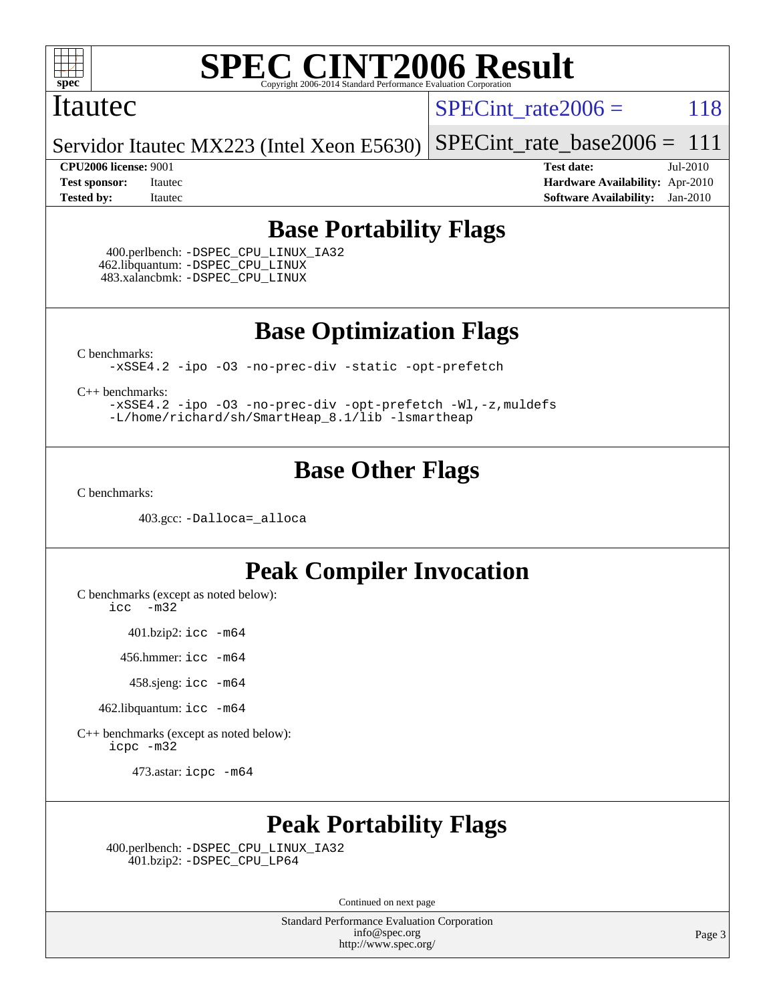

#### Itautec

SPECint rate $2006 = 118$ 

Servidor Itautec MX223 (Intel Xeon E5630) [SPECint\\_rate\\_base2006 =](http://www.spec.org/auto/cpu2006/Docs/result-fields.html#SPECintratebase2006)  $111$ 

**[CPU2006 license:](http://www.spec.org/auto/cpu2006/Docs/result-fields.html#CPU2006license)** 9001 **[Test date:](http://www.spec.org/auto/cpu2006/Docs/result-fields.html#Testdate)** Jul-2010 **[Test sponsor:](http://www.spec.org/auto/cpu2006/Docs/result-fields.html#Testsponsor)** Itautec **[Hardware Availability:](http://www.spec.org/auto/cpu2006/Docs/result-fields.html#HardwareAvailability)** Apr-2010 **[Tested by:](http://www.spec.org/auto/cpu2006/Docs/result-fields.html#Testedby)** Itautec **[Software Availability:](http://www.spec.org/auto/cpu2006/Docs/result-fields.html#SoftwareAvailability)** Jan-2010

#### **[Base Portability Flags](http://www.spec.org/auto/cpu2006/Docs/result-fields.html#BasePortabilityFlags)**

 400.perlbench: [-DSPEC\\_CPU\\_LINUX\\_IA32](http://www.spec.org/cpu2006/results/res2010q3/cpu2006-20100715-12412.flags.html#b400.perlbench_baseCPORTABILITY_DSPEC_CPU_LINUX_IA32) 462.libquantum: [-DSPEC\\_CPU\\_LINUX](http://www.spec.org/cpu2006/results/res2010q3/cpu2006-20100715-12412.flags.html#b462.libquantum_baseCPORTABILITY_DSPEC_CPU_LINUX) 483.xalancbmk: [-DSPEC\\_CPU\\_LINUX](http://www.spec.org/cpu2006/results/res2010q3/cpu2006-20100715-12412.flags.html#b483.xalancbmk_baseCXXPORTABILITY_DSPEC_CPU_LINUX)

**[Base Optimization Flags](http://www.spec.org/auto/cpu2006/Docs/result-fields.html#BaseOptimizationFlags)**

[C benchmarks](http://www.spec.org/auto/cpu2006/Docs/result-fields.html#Cbenchmarks):

[-xSSE4.2](http://www.spec.org/cpu2006/results/res2010q3/cpu2006-20100715-12412.flags.html#user_CCbase_f-xSSE42_f91528193cf0b216347adb8b939d4107) [-ipo](http://www.spec.org/cpu2006/results/res2010q3/cpu2006-20100715-12412.flags.html#user_CCbase_f-ipo) [-O3](http://www.spec.org/cpu2006/results/res2010q3/cpu2006-20100715-12412.flags.html#user_CCbase_f-O3) [-no-prec-div](http://www.spec.org/cpu2006/results/res2010q3/cpu2006-20100715-12412.flags.html#user_CCbase_f-no-prec-div) [-static](http://www.spec.org/cpu2006/results/res2010q3/cpu2006-20100715-12412.flags.html#user_CCbase_f-static) [-opt-prefetch](http://www.spec.org/cpu2006/results/res2010q3/cpu2006-20100715-12412.flags.html#user_CCbase_f-opt-prefetch)

[C++ benchmarks:](http://www.spec.org/auto/cpu2006/Docs/result-fields.html#CXXbenchmarks)

[-xSSE4.2](http://www.spec.org/cpu2006/results/res2010q3/cpu2006-20100715-12412.flags.html#user_CXXbase_f-xSSE42_f91528193cf0b216347adb8b939d4107) [-ipo](http://www.spec.org/cpu2006/results/res2010q3/cpu2006-20100715-12412.flags.html#user_CXXbase_f-ipo) [-O3](http://www.spec.org/cpu2006/results/res2010q3/cpu2006-20100715-12412.flags.html#user_CXXbase_f-O3) [-no-prec-div](http://www.spec.org/cpu2006/results/res2010q3/cpu2006-20100715-12412.flags.html#user_CXXbase_f-no-prec-div) [-opt-prefetch](http://www.spec.org/cpu2006/results/res2010q3/cpu2006-20100715-12412.flags.html#user_CXXbase_f-opt-prefetch) [-Wl,-z,muldefs](http://www.spec.org/cpu2006/results/res2010q3/cpu2006-20100715-12412.flags.html#user_CXXbase_link_force_multiple1_74079c344b956b9658436fd1b6dd3a8a) [-L/home/richard/sh/SmartHeap\\_8.1/lib -lsmartheap](http://www.spec.org/cpu2006/results/res2010q3/cpu2006-20100715-12412.flags.html#user_CXXbase_SmartHeap_ca89174614665f48817f3d388ddc383c)

#### **[Base Other Flags](http://www.spec.org/auto/cpu2006/Docs/result-fields.html#BaseOtherFlags)**

[C benchmarks](http://www.spec.org/auto/cpu2006/Docs/result-fields.html#Cbenchmarks):

403.gcc: [-Dalloca=\\_alloca](http://www.spec.org/cpu2006/results/res2010q3/cpu2006-20100715-12412.flags.html#b403.gcc_baseEXTRA_CFLAGS_Dalloca_be3056838c12de2578596ca5467af7f3)

#### **[Peak Compiler Invocation](http://www.spec.org/auto/cpu2006/Docs/result-fields.html#PeakCompilerInvocation)**

[C benchmarks \(except as noted below\)](http://www.spec.org/auto/cpu2006/Docs/result-fields.html#Cbenchmarksexceptasnotedbelow):

[icc -m32](http://www.spec.org/cpu2006/results/res2010q3/cpu2006-20100715-12412.flags.html#user_CCpeak_intel_icc_32bit_5ff4a39e364c98233615fdd38438c6f2)

401.bzip2: [icc -m64](http://www.spec.org/cpu2006/results/res2010q3/cpu2006-20100715-12412.flags.html#user_peakCCLD401_bzip2_intel_icc_64bit_bda6cc9af1fdbb0edc3795bac97ada53)

456.hmmer: [icc -m64](http://www.spec.org/cpu2006/results/res2010q3/cpu2006-20100715-12412.flags.html#user_peakCCLD456_hmmer_intel_icc_64bit_bda6cc9af1fdbb0edc3795bac97ada53)

458.sjeng: [icc -m64](http://www.spec.org/cpu2006/results/res2010q3/cpu2006-20100715-12412.flags.html#user_peakCCLD458_sjeng_intel_icc_64bit_bda6cc9af1fdbb0edc3795bac97ada53)

462.libquantum: [icc -m64](http://www.spec.org/cpu2006/results/res2010q3/cpu2006-20100715-12412.flags.html#user_peakCCLD462_libquantum_intel_icc_64bit_bda6cc9af1fdbb0edc3795bac97ada53)

[C++ benchmarks \(except as noted below\):](http://www.spec.org/auto/cpu2006/Docs/result-fields.html#CXXbenchmarksexceptasnotedbelow) [icpc -m32](http://www.spec.org/cpu2006/results/res2010q3/cpu2006-20100715-12412.flags.html#user_CXXpeak_intel_icpc_32bit_4e5a5ef1a53fd332b3c49e69c3330699)

473.astar: [icpc -m64](http://www.spec.org/cpu2006/results/res2010q3/cpu2006-20100715-12412.flags.html#user_peakCXXLD473_astar_intel_icpc_64bit_fc66a5337ce925472a5c54ad6a0de310)

#### **[Peak Portability Flags](http://www.spec.org/auto/cpu2006/Docs/result-fields.html#PeakPortabilityFlags)**

 400.perlbench: [-DSPEC\\_CPU\\_LINUX\\_IA32](http://www.spec.org/cpu2006/results/res2010q3/cpu2006-20100715-12412.flags.html#b400.perlbench_peakCPORTABILITY_DSPEC_CPU_LINUX_IA32) 401.bzip2: [-DSPEC\\_CPU\\_LP64](http://www.spec.org/cpu2006/results/res2010q3/cpu2006-20100715-12412.flags.html#suite_peakCPORTABILITY401_bzip2_DSPEC_CPU_LP64)

Continued on next page

Standard Performance Evaluation Corporation [info@spec.org](mailto:info@spec.org) <http://www.spec.org/>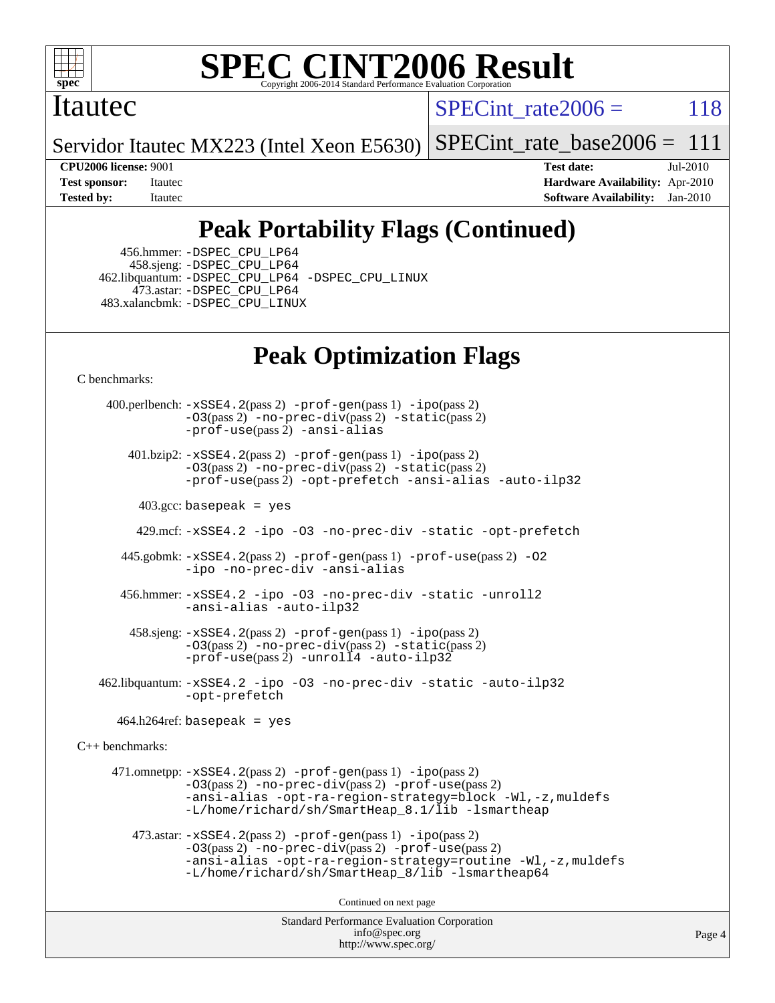

#### Itautec

SPECint rate $2006 = 118$ 

Servidor Itautec MX223 (Intel Xeon E5630)  $SPECTnt$  rate base  $2006 = 111$ 

**[CPU2006 license:](http://www.spec.org/auto/cpu2006/Docs/result-fields.html#CPU2006license)** 9001 **[Test date:](http://www.spec.org/auto/cpu2006/Docs/result-fields.html#Testdate)** Jul-2010 **[Test sponsor:](http://www.spec.org/auto/cpu2006/Docs/result-fields.html#Testsponsor)** Itautec **[Hardware Availability:](http://www.spec.org/auto/cpu2006/Docs/result-fields.html#HardwareAvailability)** Apr-2010 **[Tested by:](http://www.spec.org/auto/cpu2006/Docs/result-fields.html#Testedby)** Itautec **[Software Availability:](http://www.spec.org/auto/cpu2006/Docs/result-fields.html#SoftwareAvailability)** Jan-2010

### **[Peak Portability Flags \(Continued\)](http://www.spec.org/auto/cpu2006/Docs/result-fields.html#PeakPortabilityFlags)**

 456.hmmer: [-DSPEC\\_CPU\\_LP64](http://www.spec.org/cpu2006/results/res2010q3/cpu2006-20100715-12412.flags.html#suite_peakCPORTABILITY456_hmmer_DSPEC_CPU_LP64) 458.sjeng: [-DSPEC\\_CPU\\_LP64](http://www.spec.org/cpu2006/results/res2010q3/cpu2006-20100715-12412.flags.html#suite_peakCPORTABILITY458_sjeng_DSPEC_CPU_LP64) 462.libquantum: [-DSPEC\\_CPU\\_LP64](http://www.spec.org/cpu2006/results/res2010q3/cpu2006-20100715-12412.flags.html#suite_peakCPORTABILITY462_libquantum_DSPEC_CPU_LP64) [-DSPEC\\_CPU\\_LINUX](http://www.spec.org/cpu2006/results/res2010q3/cpu2006-20100715-12412.flags.html#b462.libquantum_peakCPORTABILITY_DSPEC_CPU_LINUX) 473.astar: [-DSPEC\\_CPU\\_LP64](http://www.spec.org/cpu2006/results/res2010q3/cpu2006-20100715-12412.flags.html#suite_peakCXXPORTABILITY473_astar_DSPEC_CPU_LP64) 483.xalancbmk: [-DSPEC\\_CPU\\_LINUX](http://www.spec.org/cpu2006/results/res2010q3/cpu2006-20100715-12412.flags.html#b483.xalancbmk_peakCXXPORTABILITY_DSPEC_CPU_LINUX)

#### **[Peak Optimization Flags](http://www.spec.org/auto/cpu2006/Docs/result-fields.html#PeakOptimizationFlags)**

[C benchmarks](http://www.spec.org/auto/cpu2006/Docs/result-fields.html#Cbenchmarks):

Standard Performance Evaluation Corporation [info@spec.org](mailto:info@spec.org) Page 4 400.perlbench: [-xSSE4.2](http://www.spec.org/cpu2006/results/res2010q3/cpu2006-20100715-12412.flags.html#user_peakPASS2_CFLAGSPASS2_LDCFLAGS400_perlbench_f-xSSE42_f91528193cf0b216347adb8b939d4107)(pass 2) [-prof-gen](http://www.spec.org/cpu2006/results/res2010q3/cpu2006-20100715-12412.flags.html#user_peakPASS1_CFLAGSPASS1_LDCFLAGS400_perlbench_prof_gen_e43856698f6ca7b7e442dfd80e94a8fc)(pass 1) [-ipo](http://www.spec.org/cpu2006/results/res2010q3/cpu2006-20100715-12412.flags.html#user_peakPASS2_CFLAGSPASS2_LDCFLAGS400_perlbench_f-ipo)(pass 2)  $-03$ (pass 2)  $-$ no-prec-div(pass 2)  $-$ static(pass 2) [-prof-use](http://www.spec.org/cpu2006/results/res2010q3/cpu2006-20100715-12412.flags.html#user_peakPASS2_CFLAGSPASS2_LDCFLAGS400_perlbench_prof_use_bccf7792157ff70d64e32fe3e1250b55)(pass 2) [-ansi-alias](http://www.spec.org/cpu2006/results/res2010q3/cpu2006-20100715-12412.flags.html#user_peakCOPTIMIZE400_perlbench_f-ansi-alias) 401.bzip2: [-xSSE4.2](http://www.spec.org/cpu2006/results/res2010q3/cpu2006-20100715-12412.flags.html#user_peakPASS2_CFLAGSPASS2_LDCFLAGS401_bzip2_f-xSSE42_f91528193cf0b216347adb8b939d4107)(pass 2) [-prof-gen](http://www.spec.org/cpu2006/results/res2010q3/cpu2006-20100715-12412.flags.html#user_peakPASS1_CFLAGSPASS1_LDCFLAGS401_bzip2_prof_gen_e43856698f6ca7b7e442dfd80e94a8fc)(pass 1) [-ipo](http://www.spec.org/cpu2006/results/res2010q3/cpu2006-20100715-12412.flags.html#user_peakPASS2_CFLAGSPASS2_LDCFLAGS401_bzip2_f-ipo)(pass 2) [-O3](http://www.spec.org/cpu2006/results/res2010q3/cpu2006-20100715-12412.flags.html#user_peakPASS2_CFLAGSPASS2_LDCFLAGS401_bzip2_f-O3)(pass 2) [-no-prec-div](http://www.spec.org/cpu2006/results/res2010q3/cpu2006-20100715-12412.flags.html#user_peakPASS2_CFLAGSPASS2_LDCFLAGS401_bzip2_f-no-prec-div)(pass 2) [-static](http://www.spec.org/cpu2006/results/res2010q3/cpu2006-20100715-12412.flags.html#user_peakPASS2_CFLAGSPASS2_LDCFLAGS401_bzip2_f-static)(pass 2) [-prof-use](http://www.spec.org/cpu2006/results/res2010q3/cpu2006-20100715-12412.flags.html#user_peakPASS2_CFLAGSPASS2_LDCFLAGS401_bzip2_prof_use_bccf7792157ff70d64e32fe3e1250b55)(pass 2) [-opt-prefetch](http://www.spec.org/cpu2006/results/res2010q3/cpu2006-20100715-12412.flags.html#user_peakCOPTIMIZE401_bzip2_f-opt-prefetch) [-ansi-alias](http://www.spec.org/cpu2006/results/res2010q3/cpu2006-20100715-12412.flags.html#user_peakCOPTIMIZE401_bzip2_f-ansi-alias) [-auto-ilp32](http://www.spec.org/cpu2006/results/res2010q3/cpu2006-20100715-12412.flags.html#user_peakCOPTIMIZE401_bzip2_f-auto-ilp32) 403.gcc: basepeak = yes 429.mcf: [-xSSE4.2](http://www.spec.org/cpu2006/results/res2010q3/cpu2006-20100715-12412.flags.html#user_peakCOPTIMIZE429_mcf_f-xSSE42_f91528193cf0b216347adb8b939d4107) [-ipo](http://www.spec.org/cpu2006/results/res2010q3/cpu2006-20100715-12412.flags.html#user_peakCOPTIMIZE429_mcf_f-ipo) [-O3](http://www.spec.org/cpu2006/results/res2010q3/cpu2006-20100715-12412.flags.html#user_peakCOPTIMIZE429_mcf_f-O3) [-no-prec-div](http://www.spec.org/cpu2006/results/res2010q3/cpu2006-20100715-12412.flags.html#user_peakCOPTIMIZE429_mcf_f-no-prec-div) [-static](http://www.spec.org/cpu2006/results/res2010q3/cpu2006-20100715-12412.flags.html#user_peakCOPTIMIZE429_mcf_f-static) [-opt-prefetch](http://www.spec.org/cpu2006/results/res2010q3/cpu2006-20100715-12412.flags.html#user_peakCOPTIMIZE429_mcf_f-opt-prefetch) 445.gobmk: [-xSSE4.2](http://www.spec.org/cpu2006/results/res2010q3/cpu2006-20100715-12412.flags.html#user_peakPASS2_CFLAGSPASS2_LDCFLAGS445_gobmk_f-xSSE42_f91528193cf0b216347adb8b939d4107)(pass 2) [-prof-gen](http://www.spec.org/cpu2006/results/res2010q3/cpu2006-20100715-12412.flags.html#user_peakPASS1_CFLAGSPASS1_LDCFLAGS445_gobmk_prof_gen_e43856698f6ca7b7e442dfd80e94a8fc)(pass 1) [-prof-use](http://www.spec.org/cpu2006/results/res2010q3/cpu2006-20100715-12412.flags.html#user_peakPASS2_CFLAGSPASS2_LDCFLAGS445_gobmk_prof_use_bccf7792157ff70d64e32fe3e1250b55)(pass 2) [-O2](http://www.spec.org/cpu2006/results/res2010q3/cpu2006-20100715-12412.flags.html#user_peakCOPTIMIZE445_gobmk_f-O2) [-ipo](http://www.spec.org/cpu2006/results/res2010q3/cpu2006-20100715-12412.flags.html#user_peakCOPTIMIZE445_gobmk_f-ipo) [-no-prec-div](http://www.spec.org/cpu2006/results/res2010q3/cpu2006-20100715-12412.flags.html#user_peakCOPTIMIZE445_gobmk_f-no-prec-div) [-ansi-alias](http://www.spec.org/cpu2006/results/res2010q3/cpu2006-20100715-12412.flags.html#user_peakCOPTIMIZE445_gobmk_f-ansi-alias) 456.hmmer: [-xSSE4.2](http://www.spec.org/cpu2006/results/res2010q3/cpu2006-20100715-12412.flags.html#user_peakCOPTIMIZE456_hmmer_f-xSSE42_f91528193cf0b216347adb8b939d4107) [-ipo](http://www.spec.org/cpu2006/results/res2010q3/cpu2006-20100715-12412.flags.html#user_peakCOPTIMIZE456_hmmer_f-ipo) [-O3](http://www.spec.org/cpu2006/results/res2010q3/cpu2006-20100715-12412.flags.html#user_peakCOPTIMIZE456_hmmer_f-O3) [-no-prec-div](http://www.spec.org/cpu2006/results/res2010q3/cpu2006-20100715-12412.flags.html#user_peakCOPTIMIZE456_hmmer_f-no-prec-div) [-static](http://www.spec.org/cpu2006/results/res2010q3/cpu2006-20100715-12412.flags.html#user_peakCOPTIMIZE456_hmmer_f-static) [-unroll2](http://www.spec.org/cpu2006/results/res2010q3/cpu2006-20100715-12412.flags.html#user_peakCOPTIMIZE456_hmmer_f-unroll_784dae83bebfb236979b41d2422d7ec2) [-ansi-alias](http://www.spec.org/cpu2006/results/res2010q3/cpu2006-20100715-12412.flags.html#user_peakCOPTIMIZE456_hmmer_f-ansi-alias) [-auto-ilp32](http://www.spec.org/cpu2006/results/res2010q3/cpu2006-20100715-12412.flags.html#user_peakCOPTIMIZE456_hmmer_f-auto-ilp32) 458.sjeng: [-xSSE4.2](http://www.spec.org/cpu2006/results/res2010q3/cpu2006-20100715-12412.flags.html#user_peakPASS2_CFLAGSPASS2_LDCFLAGS458_sjeng_f-xSSE42_f91528193cf0b216347adb8b939d4107)(pass 2) [-prof-gen](http://www.spec.org/cpu2006/results/res2010q3/cpu2006-20100715-12412.flags.html#user_peakPASS1_CFLAGSPASS1_LDCFLAGS458_sjeng_prof_gen_e43856698f6ca7b7e442dfd80e94a8fc)(pass 1) [-ipo](http://www.spec.org/cpu2006/results/res2010q3/cpu2006-20100715-12412.flags.html#user_peakPASS2_CFLAGSPASS2_LDCFLAGS458_sjeng_f-ipo)(pass 2) [-O3](http://www.spec.org/cpu2006/results/res2010q3/cpu2006-20100715-12412.flags.html#user_peakPASS2_CFLAGSPASS2_LDCFLAGS458_sjeng_f-O3)(pass 2) [-no-prec-div](http://www.spec.org/cpu2006/results/res2010q3/cpu2006-20100715-12412.flags.html#user_peakPASS2_CFLAGSPASS2_LDCFLAGS458_sjeng_f-no-prec-div)(pass 2) [-static](http://www.spec.org/cpu2006/results/res2010q3/cpu2006-20100715-12412.flags.html#user_peakPASS2_CFLAGSPASS2_LDCFLAGS458_sjeng_f-static)(pass 2) [-prof-use](http://www.spec.org/cpu2006/results/res2010q3/cpu2006-20100715-12412.flags.html#user_peakPASS2_CFLAGSPASS2_LDCFLAGS458_sjeng_prof_use_bccf7792157ff70d64e32fe3e1250b55)(pass 2) [-unroll4](http://www.spec.org/cpu2006/results/res2010q3/cpu2006-20100715-12412.flags.html#user_peakCOPTIMIZE458_sjeng_f-unroll_4e5e4ed65b7fd20bdcd365bec371b81f) [-auto-ilp32](http://www.spec.org/cpu2006/results/res2010q3/cpu2006-20100715-12412.flags.html#user_peakCOPTIMIZE458_sjeng_f-auto-ilp32) 462.libquantum: [-xSSE4.2](http://www.spec.org/cpu2006/results/res2010q3/cpu2006-20100715-12412.flags.html#user_peakCOPTIMIZE462_libquantum_f-xSSE42_f91528193cf0b216347adb8b939d4107) [-ipo](http://www.spec.org/cpu2006/results/res2010q3/cpu2006-20100715-12412.flags.html#user_peakCOPTIMIZE462_libquantum_f-ipo) [-O3](http://www.spec.org/cpu2006/results/res2010q3/cpu2006-20100715-12412.flags.html#user_peakCOPTIMIZE462_libquantum_f-O3) [-no-prec-div](http://www.spec.org/cpu2006/results/res2010q3/cpu2006-20100715-12412.flags.html#user_peakCOPTIMIZE462_libquantum_f-no-prec-div) [-static](http://www.spec.org/cpu2006/results/res2010q3/cpu2006-20100715-12412.flags.html#user_peakCOPTIMIZE462_libquantum_f-static) [-auto-ilp32](http://www.spec.org/cpu2006/results/res2010q3/cpu2006-20100715-12412.flags.html#user_peakCOPTIMIZE462_libquantum_f-auto-ilp32) [-opt-prefetch](http://www.spec.org/cpu2006/results/res2010q3/cpu2006-20100715-12412.flags.html#user_peakCOPTIMIZE462_libquantum_f-opt-prefetch)  $464.h264$ ref: basepeak = yes [C++ benchmarks:](http://www.spec.org/auto/cpu2006/Docs/result-fields.html#CXXbenchmarks) 471.omnetpp:  $-xSSE4$ . 2(pass 2)  $-prof-qen(pass 1) -ipo(pass 2)$  $-prof-qen(pass 1) -ipo(pass 2)$  $-prof-qen(pass 1) -ipo(pass 2)$ [-O3](http://www.spec.org/cpu2006/results/res2010q3/cpu2006-20100715-12412.flags.html#user_peakPASS2_CXXFLAGSPASS2_LDCXXFLAGS471_omnetpp_f-O3)(pass 2) [-no-prec-div](http://www.spec.org/cpu2006/results/res2010q3/cpu2006-20100715-12412.flags.html#user_peakPASS2_CXXFLAGSPASS2_LDCXXFLAGS471_omnetpp_f-no-prec-div)(pass 2) [-prof-use](http://www.spec.org/cpu2006/results/res2010q3/cpu2006-20100715-12412.flags.html#user_peakPASS2_CXXFLAGSPASS2_LDCXXFLAGS471_omnetpp_prof_use_bccf7792157ff70d64e32fe3e1250b55)(pass 2) [-ansi-alias](http://www.spec.org/cpu2006/results/res2010q3/cpu2006-20100715-12412.flags.html#user_peakCXXOPTIMIZE471_omnetpp_f-ansi-alias) [-opt-ra-region-strategy=block](http://www.spec.org/cpu2006/results/res2010q3/cpu2006-20100715-12412.flags.html#user_peakCXXOPTIMIZE471_omnetpp_f-opt-ra-region-strategy-block_a0a37c372d03933b2a18d4af463c1f69) [-Wl,-z,muldefs](http://www.spec.org/cpu2006/results/res2010q3/cpu2006-20100715-12412.flags.html#user_peakEXTRA_LDFLAGS471_omnetpp_link_force_multiple1_74079c344b956b9658436fd1b6dd3a8a) [-L/home/richard/sh/SmartHeap\\_8.1/lib -lsmartheap](http://www.spec.org/cpu2006/results/res2010q3/cpu2006-20100715-12412.flags.html#user_peakEXTRA_LIBS471_omnetpp_SmartHeap_ca89174614665f48817f3d388ddc383c) 473.astar: [-xSSE4.2](http://www.spec.org/cpu2006/results/res2010q3/cpu2006-20100715-12412.flags.html#user_peakPASS2_CXXFLAGSPASS2_LDCXXFLAGS473_astar_f-xSSE42_f91528193cf0b216347adb8b939d4107)(pass 2) [-prof-gen](http://www.spec.org/cpu2006/results/res2010q3/cpu2006-20100715-12412.flags.html#user_peakPASS1_CXXFLAGSPASS1_LDCXXFLAGS473_astar_prof_gen_e43856698f6ca7b7e442dfd80e94a8fc)(pass 1) [-ipo](http://www.spec.org/cpu2006/results/res2010q3/cpu2006-20100715-12412.flags.html#user_peakPASS2_CXXFLAGSPASS2_LDCXXFLAGS473_astar_f-ipo)(pass 2) [-O3](http://www.spec.org/cpu2006/results/res2010q3/cpu2006-20100715-12412.flags.html#user_peakPASS2_CXXFLAGSPASS2_LDCXXFLAGS473_astar_f-O3)(pass 2) [-no-prec-div](http://www.spec.org/cpu2006/results/res2010q3/cpu2006-20100715-12412.flags.html#user_peakPASS2_CXXFLAGSPASS2_LDCXXFLAGS473_astar_f-no-prec-div)(pass 2) [-prof-use](http://www.spec.org/cpu2006/results/res2010q3/cpu2006-20100715-12412.flags.html#user_peakPASS2_CXXFLAGSPASS2_LDCXXFLAGS473_astar_prof_use_bccf7792157ff70d64e32fe3e1250b55)(pass 2) [-ansi-alias](http://www.spec.org/cpu2006/results/res2010q3/cpu2006-20100715-12412.flags.html#user_peakCXXOPTIMIZE473_astar_f-ansi-alias) [-opt-ra-region-strategy=routine](http://www.spec.org/cpu2006/results/res2010q3/cpu2006-20100715-12412.flags.html#user_peakCXXOPTIMIZE473_astar_f-opt-ra-region-strategy-routine_ba086ea3b1d46a52e1238e2ca173ed44) [-Wl,-z,muldefs](http://www.spec.org/cpu2006/results/res2010q3/cpu2006-20100715-12412.flags.html#user_peakEXTRA_LDFLAGS473_astar_link_force_multiple1_74079c344b956b9658436fd1b6dd3a8a) [-L/home/richard/sh/SmartHeap\\_8/lib -lsmartheap64](http://www.spec.org/cpu2006/results/res2010q3/cpu2006-20100715-12412.flags.html#user_peakEXTRA_LIBS473_astar_SmartHeap64_6dcf82733cc900f52a62ba8d71f5b4d0) Continued on next page

<http://www.spec.org/>